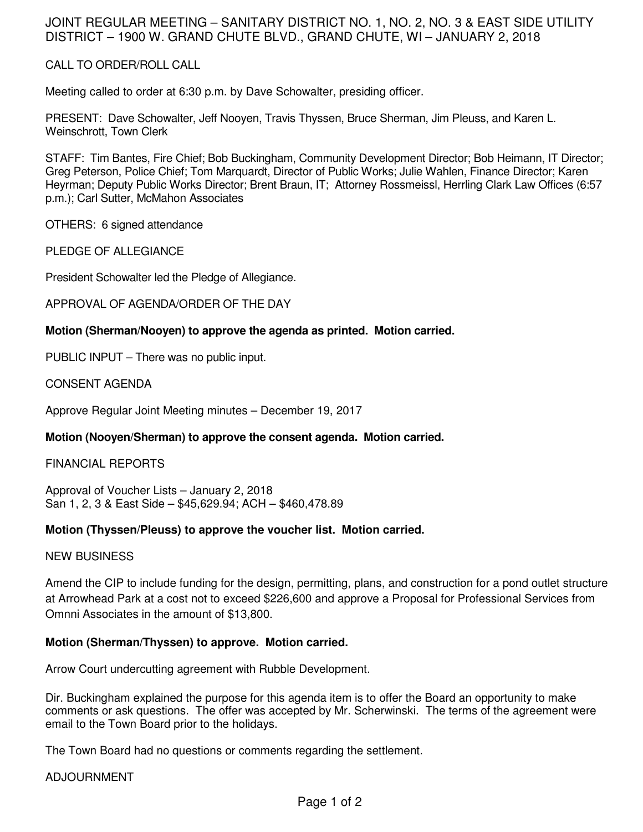## JOINT REGULAR MEETING – SANITARY DISTRICT NO. 1, NO. 2, NO. 3 & EAST SIDE UTILITY DISTRICT – 1900 W. GRAND CHUTE BLVD., GRAND CHUTE, WI – JANUARY 2, 2018

## CALL TO ORDER/ROLL CALL

Meeting called to order at 6:30 p.m. by Dave Schowalter, presiding officer.

PRESENT: Dave Schowalter, Jeff Nooyen, Travis Thyssen, Bruce Sherman, Jim Pleuss, and Karen L. Weinschrott, Town Clerk

STAFF: Tim Bantes, Fire Chief; Bob Buckingham, Community Development Director; Bob Heimann, IT Director; Greg Peterson, Police Chief; Tom Marquardt, Director of Public Works; Julie Wahlen, Finance Director; Karen Heyrman; Deputy Public Works Director; Brent Braun, IT; Attorney Rossmeissl, Herrling Clark Law Offices (6:57 p.m.); Carl Sutter, McMahon Associates

OTHERS: 6 signed attendance

PLEDGE OF ALLEGIANCE

President Schowalter led the Pledge of Allegiance.

APPROVAL OF AGENDA/ORDER OF THE DAY

#### **Motion (Sherman/Nooyen) to approve the agenda as printed. Motion carried.**

PUBLIC INPUT – There was no public input.

CONSENT AGENDA

Approve Regular Joint Meeting minutes – December 19, 2017

## **Motion (Nooyen/Sherman) to approve the consent agenda. Motion carried.**

#### FINANCIAL REPORTS

Approval of Voucher Lists – January 2, 2018 San 1, 2, 3 & East Side – \$45,629.94; ACH – \$460,478.89

#### **Motion (Thyssen/Pleuss) to approve the voucher list. Motion carried.**

#### NEW BUSINESS

Amend the CIP to include funding for the design, permitting, plans, and construction for a pond outlet structure at Arrowhead Park at a cost not to exceed \$226,600 and approve a Proposal for Professional Services from Omnni Associates in the amount of \$13,800.

## **Motion (Sherman/Thyssen) to approve. Motion carried.**

Arrow Court undercutting agreement with Rubble Development.

Dir. Buckingham explained the purpose for this agenda item is to offer the Board an opportunity to make comments or ask questions. The offer was accepted by Mr. Scherwinski. The terms of the agreement were email to the Town Board prior to the holidays.

The Town Board had no questions or comments regarding the settlement.

#### ADJOURNMENT